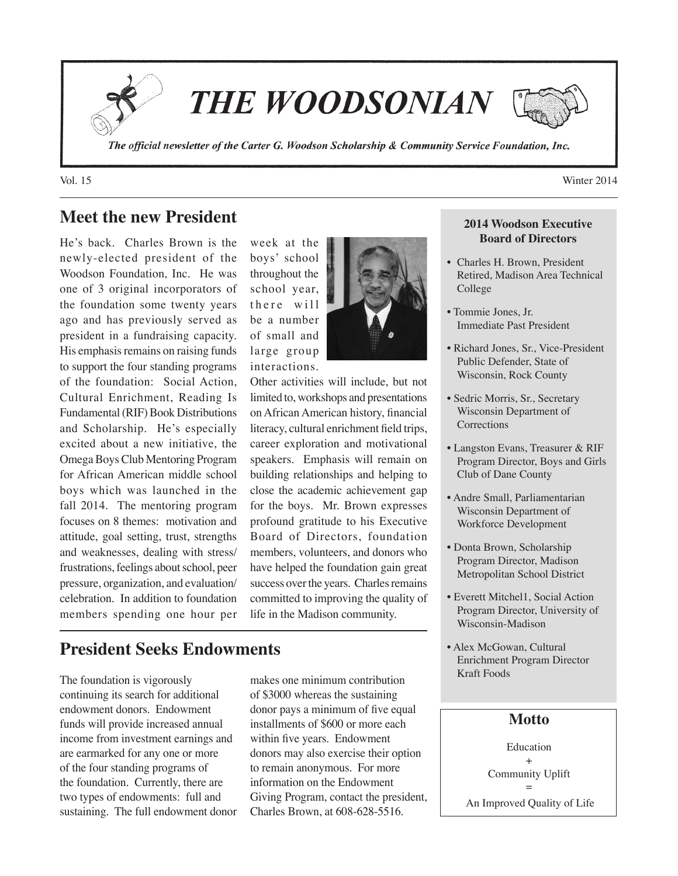

**THE WOODSONIAN** 

The official newsletter of the Carter G. Woodson Scholarship & Community Service Foundation, Inc.

# **Meet the new President**

He's back. Charles Brown is the newly-elected president of the Woodson Foundation, Inc. He was one of 3 original incorporators of the foundation some twenty years ago and has previously served as president in a fundraising capacity. His emphasis remains on raising funds to support the four standing programs of the foundation: Social Action, Cultural Enrichment, Reading Is Fundamental (RIF) Book Distributions and Scholarship. He's especially excited about a new initiative, the Omega Boys Club Mentoring Program for African American middle school boys which was launched in the fall 2014. The mentoring program focuses on 8 themes: motivation and attitude, goal setting, trust, strengths and weaknesses, dealing with stress/ frustrations, feelings about school, peer pressure, organization, and evaluation/ celebration. In addition to foundation members spending one hour per week at the boys' school throughout the school year, there will be a number of small and large group interactions.



Other activities will include, but not limited to, workshops and presentations on African American history, financial literacy, cultural enrichment field trips, career exploration and motivational speakers. Emphasis will remain on building relationships and helping to close the academic achievement gap for the boys. Mr. Brown expresses profound gratitude to his Executive Board of Directors, foundation members, volunteers, and donors who have helped the foundation gain great success over the years. Charles remains committed to improving the quality of life in the Madison community.

## **President Seeks Endowments**

The foundation is vigorously continuing its search for additional endowment donors. Endowment funds will provide increased annual income from investment earnings and are earmarked for any one or more of the four standing programs of the foundation. Currently, there are two types of endowments: full and sustaining. The full endowment donor

makes one minimum contribution of \$3000 whereas the sustaining donor pays a minimum of five equal installments of \$600 or more each within five years. Endowment donors may also exercise their option to remain anonymous. For more information on the Endowment Giving Program, contact the president, Charles Brown, at 608-628-5516.

#### **2014 Woodson Executive Board of Directors**

- Charles H. Brown, President Retired, Madison Area Technical College
- Tommie Jones, Jr. Immediate Past President
- Richard Jones, Sr., Vice-President Public Defender, State of Wisconsin, Rock County
- Sedric Morris, Sr., Secretary Wisconsin Department of **Corrections**
- Langston Evans, Treasurer & RIF Program Director, Boys and Girls Club of Dane County
- Andre Small, Parliamentarian Wisconsin Department of Workforce Development
- Donta Brown, Scholarship Program Director, Madison Metropolitan School District
- Everett Mitchel1, Social Action Program Director, University of Wisconsin-Madison
- Alex McGowan, Cultural Enrichment Program Director Kraft Foods

### **Motto**

Education + Community Uplift = An Improved Quality of Life

Vol. 15 Winter 2014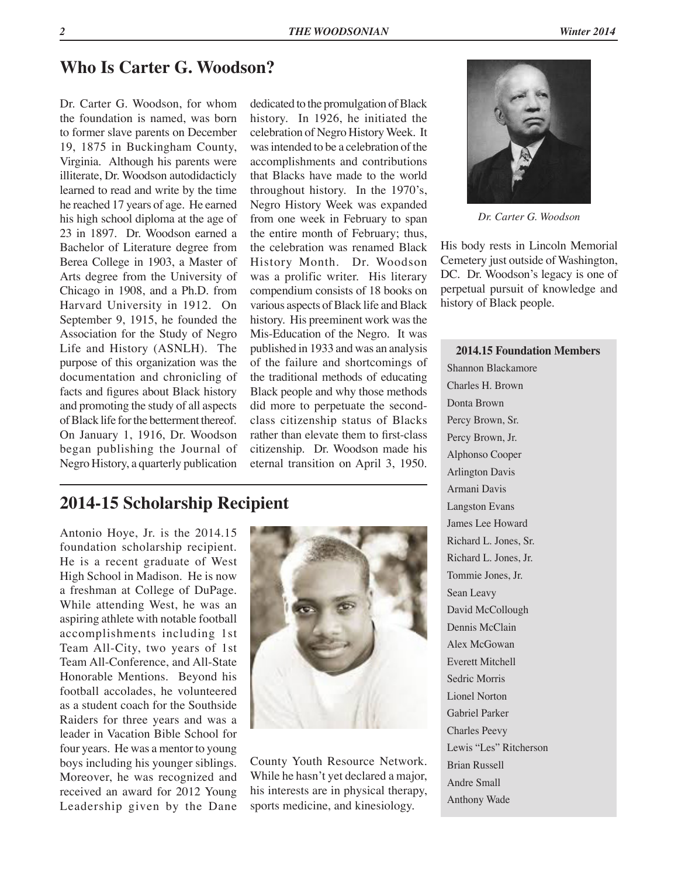# **Who Is Carter G. Woodson?**

Dr. Carter G. Woodson, for whom the foundation is named, was born to former slave parents on December 19, 1875 in Buckingham County, Virginia. Although his parents were illiterate, Dr. Woodson autodidacticly learned to read and write by the time he reached 17 years of age. He earned his high school diploma at the age of 23 in 1897. Dr. Woodson earned a Bachelor of Literature degree from Berea College in 1903, a Master of Arts degree from the University of Chicago in 1908, and a Ph.D. from Harvard University in 1912. On September 9, 1915, he founded the Association for the Study of Negro Life and History (ASNLH). The purpose of this organization was the documentation and chronicling of facts and figures about Black history and promoting the study of all aspects of Black life for the betterment thereof. On January 1, 1916, Dr. Woodson began publishing the Journal of Negro History, a quarterly publication

dedicated to the promulgation of Black history. In 1926, he initiated the celebration of Negro History Week. It was intended to be a celebration of the accomplishments and contributions that Blacks have made to the world throughout history. In the 1970's, Negro History Week was expanded from one week in February to span the entire month of February; thus, the celebration was renamed Black History Month. Dr. Woodson was a prolific writer. His literary compendium consists of 18 books on various aspects of Black life and Black history. His preeminent work was the Mis-Education of the Negro. It was published in 1933 and was an analysis of the failure and shortcomings of the traditional methods of educating Black people and why those methods did more to perpetuate the secondclass citizenship status of Blacks rather than elevate them to first-class citizenship. Dr. Woodson made his eternal transition on April 3, 1950.

## **2014-15 Scholarship Recipient**

Antonio Hoye, Jr. is the 2014.15 foundation scholarship recipient. He is a recent graduate of West High School in Madison. He is now a freshman at College of DuPage. While attending West, he was an aspiring athlete with notable football accomplishments including 1st Team All-City, two years of 1st Team All-Conference, and All-State Honorable Mentions. Beyond his football accolades, he volunteered as a student coach for the Southside Raiders for three years and was a leader in Vacation Bible School for four years. He was a mentor to young boys including his younger siblings. Moreover, he was recognized and received an award for 2012 Young Leadership given by the Dane



County Youth Resource Network. While he hasn't yet declared a major, his interests are in physical therapy, sports medicine, and kinesiology.



*Dr. Carter G. Woodson*

His body rests in Lincoln Memorial Cemetery just outside of Washington, DC. Dr. Woodson's legacy is one of perpetual pursuit of knowledge and history of Black people.

#### **2014.15 Foundation Members**

Shannon Blackamore Charles H. Brown Donta Brown Percy Brown, Sr. Percy Brown, Jr. Alphonso Cooper Arlington Davis Armani Davis Langston Evans James Lee Howard Richard L. Jones, Sr. Richard L. Jones, Jr. Tommie Jones, Jr. Sean Leavy David McCollough Dennis McClain Alex McGowan Everett Mitchell Sedric Morris Lionel Norton Gabriel Parker Charles Peevy Lewis "Les" Ritcherson Brian Russell Andre Small Anthony Wade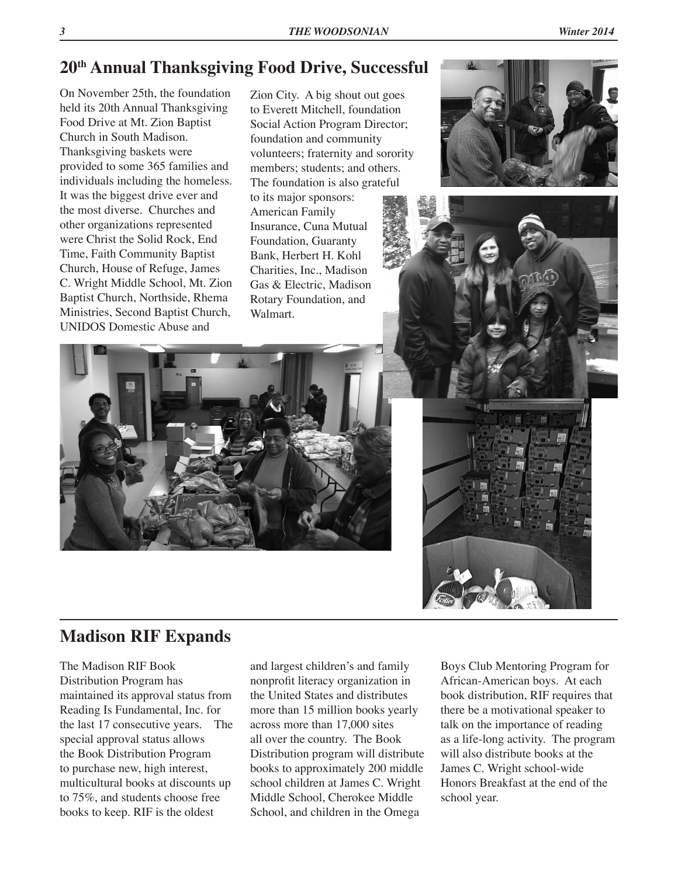On November 25th, the foundation held its 20th Annual Thanksgiving Food Drive at Mt. Zion Baptist Church in South Madison. Thanksgiving baskets were provided to some 365 families and individuals including the homeless. It was the biggest drive ever and the most diverse. Churches and other organizations represented were Christ the Solid Rock, End Time, Faith Community Baptist Church, House of Refuge, James C. Wright Middle School, Mt. Zion Baptist Church, Northside, Rhema Ministries, Second Baptist Church, UNIDOS Domestic Abuse and

Zion City. A big shout out goes to Everett Mitchell, foundation Social Action Program Director; foundation and community volunteers; fraternity and sorority members; students; and others. The foundation is also grateful to its major sponsors: American Family Insurance, Cuna Mutual Foundation, Guaranty Bank, Herbert H. Kohl Charities, Inc., Madison Gas & Electric, Madison Rotary Foundation, and Walmart.







# **Madison RIF Expands**

The Madison RIF Book Distribution Program has maintained its approval status from Reading Is Fundamental, Inc. for the last 17 consecutive years. The special approval status allows the Book Distribution Program to purchase new, high interest, multicultural books at discounts up to 75%, and students choose free books to keep. RIF is the oldest

and largest children's and family nonprofit literacy organization in the United States and distributes more than 15 million books yearly across more than 17,000 sites all over the country. The Book Distribution program will distribute books to approximately 200 middle school children at James C. Wright Middle School, Cherokee Middle School, and children in the Omega

Boys Club Mentoring Program for African-American boys. At each book distribution, RIF requires that there be a motivational speaker to talk on the importance of reading as a life-long activity. The program will also distribute books at the James C. Wright school-wide Honors Breakfast at the end of the school year.